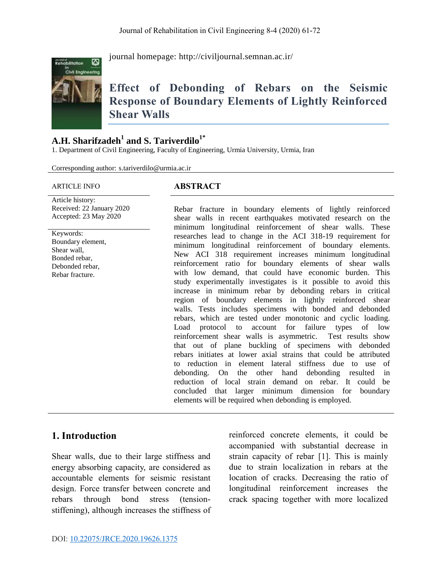

journal homepage:<http://civiljournal.semnan.ac.ir/>

# **Effect of Debonding of Rebars on the Seismic Response of Boundary Elements of Lightly Reinforced Shear Walls**

### **A.H. Sharifzadeh<sup>1</sup> and S. Tariverdilo1\***

1. Department of Civil Engineering, Faculty of Engineering, Urmia University, Urmia, Iran

Corresponding author: s.tariverdilo@urmia.ac.ir

#### ARTICLE INFO **ABSTRACT**

Article history: Received: 22 January 2020 Accepted: 23 May 2020

Keywords: Boundary element, Shear wall, Bonded rebar, Debonded rebar, Rebar fracture.

Rebar fracture in boundary elements of lightly reinforced shear walls in recent earthquakes motivated research on the minimum longitudinal reinforcement of shear walls. These researches lead to change in the ACI 318-19 requirement for minimum longitudinal reinforcement of boundary elements. New ACI 318 requirement increases minimum longitudinal reinforcement ratio for boundary elements of shear walls with low demand, that could have economic burden. This study experimentally investigates is it possible to avoid this increase in minimum rebar by debonding rebars in critical region of boundary elements in lightly reinforced shear walls. Tests includes specimens with bonded and debonded rebars, which are tested under monotonic and cyclic loading. Load protocol to account for failure types of low reinforcement shear walls is asymmetric. Test results show that out of plane buckling of specimens with debonded rebars initiates at lower axial strains that could be attributed to reduction in element lateral stiffness due to use of debonding. On the other hand debonding resulted in reduction of local strain demand on rebar. It could be concluded that larger minimum dimension for boundary elements will be required when debonding is employed.

#### **1. Introduction**

Shear walls, due to their large stiffness and energy absorbing capacity, are considered as accountable elements for seismic resistant design. Force transfer between concrete and rebars through bond stress (tensionstiffening), although increases the stiffness of reinforced concrete elements, it could be accompanied with substantial decrease in strain capacity of rebar [1]. This is mainly due to strain localization in rebars at the location of cracks. Decreasing the ratio of longitudinal reinforcement increases the crack spacing together with more localized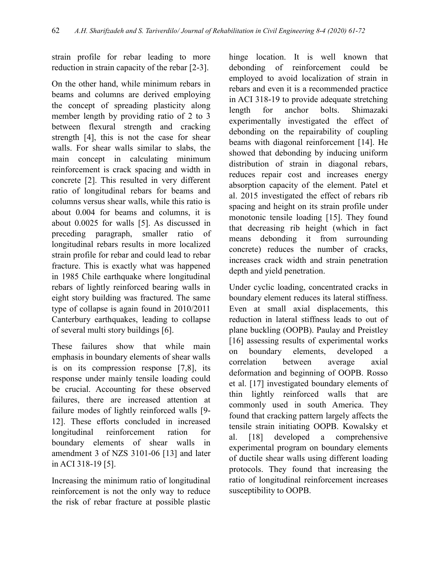strain profile for rebar leading to more reduction in strain capacity of the rebar [2-3].

On the other hand, while minimum rebars in beams and columns are derived employing the concept of spreading plasticity along member length by providing ratio of 2 to 3 between flexural strength and cracking strength [4], this is not the case for shear walls. For shear walls similar to slabs, the main concept in calculating minimum reinforcement is crack spacing and width in concrete [2]. This resulted in very different ratio of longitudinal rebars for beams and columns versus shear walls, while this ratio is about 0.004 for beams and columns, it is about 0.0025 for walls [5]. As discussed in preceding paragraph, smaller ratio of longitudinal rebars results in more localized strain profile for rebar and could lead to rebar fracture. This is exactly what was happened in 1985 Chile earthquake where longitudinal rebars of lightly reinforced bearing walls in eight story building was fractured. The same type of collapse is again found in 2010/2011 Canterbury earthquakes, leading to collapse of several multi story buildings [6].

These failures show that while main emphasis in boundary elements of shear walls is on its compression response [7,8], its response under mainly tensile loading could be crucial. Accounting for these observed failures, there are increased attention at failure modes of lightly reinforced walls [9- 12]. These efforts concluded in increased longitudinal reinforcement ration for boundary elements of shear walls in amendment 3 of NZS 3101-06 [13] and later in ACI 318-19 [5].

Increasing the minimum ratio of longitudinal reinforcement is not the only way to reduce the risk of rebar fracture at possible plastic

hinge location. It is well known that debonding of reinforcement could be employed to avoid localization of strain in rebars and even it is a recommended practice in ACI 318-19 to provide adequate stretching length for anchor bolts. Shimazaki experimentally investigated the effect of debonding on the repairability of coupling beams with diagonal reinforcement [14]. He showed that debonding by inducing uniform distribution of strain in diagonal rebars, reduces repair cost and increases energy absorption capacity of the element. Patel et al. 2015 investigated the effect of rebars rib spacing and height on its strain profile under monotonic tensile loading [15]. They found that decreasing rib height (which in fact means debonding it from surrounding concrete) reduces the number of cracks, increases crack width and strain penetration depth and yield penetration.

Under cyclic loading, concentrated cracks in boundary element reduces its lateral stiffness. Even at small axial displacements, this reduction in lateral stiffness leads to out of plane buckling (OOPB). Paulay and Preistley [16] assessing results of experimental works on boundary elements, developed a correlation between average axial deformation and beginning of OOPB. Rosso et al. [17] investigated boundary elements of thin lightly reinforced walls that are commonly used in south America. They found that cracking pattern largely affects the tensile strain initiating OOPB. Kowalsky et al. [18] developed a comprehensive experimental program on boundary elements of ductile shear walls using different loading protocols. They found that increasing the ratio of longitudinal reinforcement increases susceptibility to OOPB.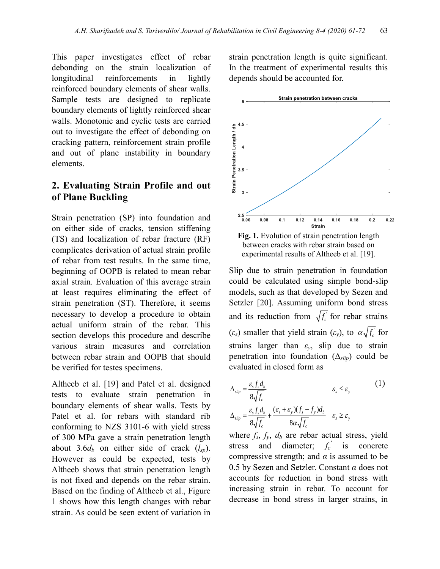This paper investigates effect of rebar debonding on the strain localization of longitudinal reinforcements in lightly reinforced boundary elements of shear walls. Sample tests are designed to replicate boundary elements of lightly reinforced shear walls. Monotonic and cyclic tests are carried out to investigate the effect of debonding on cracking pattern, reinforcement strain profile and out of plane instability in boundary elements.

#### **2. Evaluating Strain Profile and out of Plane Buckling**

Strain penetration (SP) into foundation and on either side of cracks, tension stiffening (TS) and localization of rebar fracture (RF) complicates derivation of actual strain profile of rebar from test results. In the same time, beginning of OOPB is related to mean rebar axial strain. Evaluation of this average strain at least requires eliminating the effect of strain penetration (ST). Therefore, it seems necessary to develop a procedure to obtain actual uniform strain of the rebar. This section develops this procedure and describe various strain measures and correlation between rebar strain and OOPB that should be verified for testes specimens.

Altheeb et al. [19] and Patel et al. designed tests to evaluate strain penetration in boundary elements of shear walls. Tests by Patel et al. for rebars with standard rib conforming to NZS 3101-6 with yield stress of 300 MPa gave a strain penetration length about 3.6 $d_b$  on either side of crack  $(l_{sp})$ . However as could be expected, tests by Altheeb shows that strain penetration length is not fixed and depends on the rebar strain. Based on the finding of Altheeb et al., Figure 1 shows how this length changes with rebar strain. As could be seen extent of variation in strain penetration length is quite significant. In the treatment of experimental results this depends should be accounted for.



between cracks with rebar strain based on experimental results of Altheeb et al. [19].

Slip due to strain penetration in foundation could be calculated using simple bond-slip models, such as that developed by Sezen and Setzler [20]. Assuming uniform bond stress and its reduction from  $\sqrt{f_c}$  for rebar strains  $(\varepsilon_s)$  smaller that yield strain  $(\varepsilon_y)$ , to  $\alpha \sqrt{f_c}$  for strains larger than *εy*, slip due to strain penetration into foundation (Δ*slip*) could be evaluated in closed form as

$$
\Delta_{slip} = \frac{\varepsilon_s f_s d_b}{8\sqrt{f_c}} \qquad \varepsilon_s \le \varepsilon_y \qquad (1)
$$
\n
$$
\Delta_{slip} = \frac{\varepsilon_s f_s d_b}{8\sqrt{f_c}} + \frac{(\varepsilon_s + \varepsilon_y)(f_s - f_y) d_b}{8\alpha \sqrt{f_c}} \quad \varepsilon_s \ge \varepsilon_y
$$

where  $f_s$ ,  $f_y$ ,  $d_b$  are rebar actual stress, yield stress and diameter;  $f_c'$  is concrete compressive strength; and  $\alpha$  is assumed to be 0.5 by Sezen and Setzler. Constant *α* does not accounts for reduction in bond stress with increasing strain in rebar. To account for decrease in bond stress in larger strains, in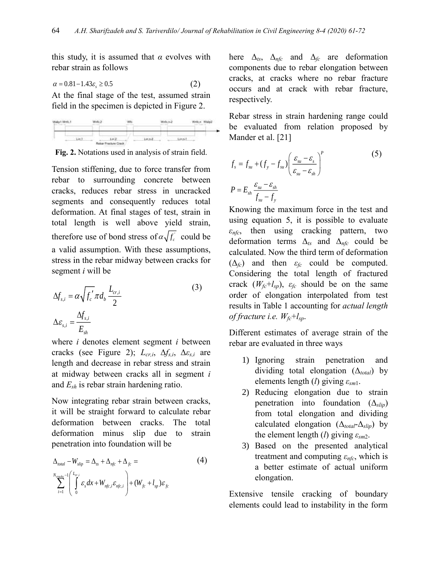this study, it is assumed that  $\alpha$  evolves with rebar strain as follows

$$
\alpha = 0.81 - 1.43\varepsilon_s \ge 0.5\tag{2}
$$

At the final stage of the test, assumed strain field in the specimen is depicted in Figure 2.



**Fig. 2.** Notations used in analysis of strain field.

Tension stiffening, due to force transfer from rebar to surrounding concrete between cracks, reduces rebar stress in uncracked segments and consequently reduces total deformation. At final stages of test, strain in total length is well above yield strain, therefore use of bond stress of  $\alpha\sqrt{f_c}$  could be a valid assumption. With these assumptions, stress in the rebar midway between cracks for segment *i* will be

$$
\Delta f_{s,i} = \alpha \sqrt{f_c'} \pi d_b \frac{L_{cr,i}}{2}
$$
\n
$$
\Delta \varepsilon_{s,i} = \frac{\Delta f_{s,i}}{E_{sh}}
$$
\n(3)

where *i* denotes element segment *i* between cracks (see Figure 2); *Lcr,i* , Δ*fs,i* , Δ*εs,i* are length and decrease in rebar stress and strain at midway between cracks all in segment *i* and *Esh* is rebar strain hardening ratio.

Now integrating rebar strain between cracks, it will be straight forward to calculate rebar deformation between cracks. The total deformation minus slip due to strain penetration into foundation will be

$$
\Delta_{total} - W_{slip} = \Delta_{ts} + \Delta_{nfc} + \Delta_{fc} =
$$
\n
$$
\sum_{i=1}^{N_{crack}-1} \left( \int_{0}^{L_{cr,i}} \varepsilon_{s} dx + W_{nfc,i} \varepsilon_{nfc,i} \right) + (W_{fc} + l_{sp}) \varepsilon_{fc}
$$
\n(4)

here  $\Delta_{ts}$ ,  $\Delta_{nfc}$  and  $\Delta_{fc}$  are deformation components due to rebar elongation between cracks, at cracks where no rebar fracture occurs and at crack with rebar fracture, respectively.

Rebar stress in strain hardening range could be evaluated from relation proposed by Mander et al. [21]

$$
f_s = f_{su} + (f_y - f_{su}) \left( \frac{\varepsilon_{su} - \varepsilon_s}{\varepsilon_{su} - \varepsilon_{sh}} \right)^p
$$
(5)  

$$
P = E_{sh} \frac{\varepsilon_{su} - \varepsilon_{sh}}{f_{su} - f_y}
$$

Knowing the maximum force in the test and using equation 5, it is possible to evaluate *εnfc*, then using cracking pattern, two deformation terms Δ*ts* and Δ*nfc* could be calculated. Now the third term of deformation  $(\Delta_f c)$  and then  $\varepsilon_f c$  could be computed. Considering the total length of fractured crack  $(W_f c^+ l_{sp})$ ,  $\varepsilon_f c$  should be on the same order of elongation interpolated from test results in Table 1 accounting for *actual length of fracture i.e. Wfc*+*lsp*.

Different estimates of average strain of the rebar are evaluated in three ways

- 1) Ignoring strain penetration and dividing total elongation (Δ*total*) by elements length (*l*) giving *εsm*1.
- 2) Reducing elongation due to strain penetration into foundation (Δ*slip*) from total elongation and dividing calculated elongation (Δ*total*-Δ*slip*) by the element length (*l*) giving *εsm*2.
- 3) Based on the presented analytical treatment and computing *εnfc*, which is a better estimate of actual uniform elongation.

Extensive tensile cracking of boundary elements could lead to instability in the form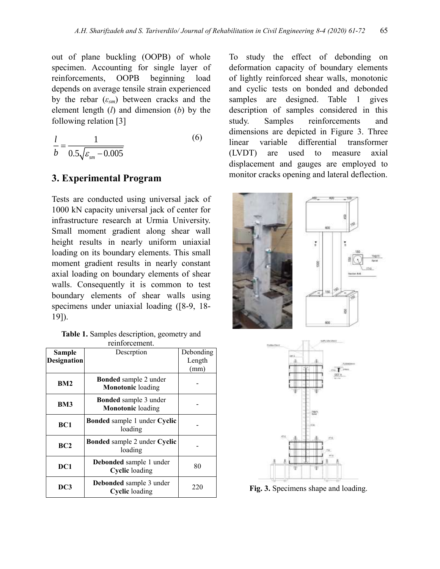out of plane buckling (OOPB) of whole specimen. Accounting for single layer of reinforcements, OOPB beginning load depends on average tensile strain experienced by the rebar  $(\varepsilon_{sm})$  between cracks and the element length (*l*) and dimension (*b*) by the following relation [3]

$$
\frac{l}{b} = \frac{1}{0.5\sqrt{\varepsilon_{sm} - 0.005}}
$$
(6)

#### **3. Experimental Program**

Tests are conducted using universal jack of 1000 kN capacity universal jack of center for infrastructure research at Urmia University. Small moment gradient along shear wall height results in nearly uniform uniaxial loading on its boundary elements. This small moment gradient results in nearly constant axial loading on boundary elements of shear walls. Consequently it is common to test boundary elements of shear walls using specimens under uniaxial loading ([8-9, 18- 19]).

**Table 1.** Samples description, geometry and reinforcement.

| Sample             | Descrption                                               | Debonding |
|--------------------|----------------------------------------------------------|-----------|
| <b>Designation</b> |                                                          | Length    |
|                    |                                                          | (mm)      |
| BM2                | Bonded sample 2 under<br><b>Monotonic</b> loading        |           |
| BM <sub>3</sub>    | <b>Bonded</b> sample 3 under<br><b>Monotonic</b> loading |           |
| BC1                | <b>Bonded</b> sample 1 under Cyclic<br>loading           |           |
| BC2                | <b>Bonded</b> sample 2 under Cyclic<br>loading           |           |
| DC1                | Debonded sample 1 under<br><b>Cyclic</b> loading         | 80        |
| DC3                | Debonded sample 3 under<br><b>Cyclic</b> loading         | 220       |

To study the effect of debonding on deformation capacity of boundary elements of lightly reinforced shear walls, monotonic and cyclic tests on bonded and debonded samples are designed. Table 1 gives description of samples considered in this study. Samples reinforcements and dimensions are depicted in Figure 3. Three linear variable differential transformer (LVDT) are used to measure axial displacement and gauges are employed to monitor cracks opening and lateral deflection.





**Fig. 3.** Specimens shape and loading.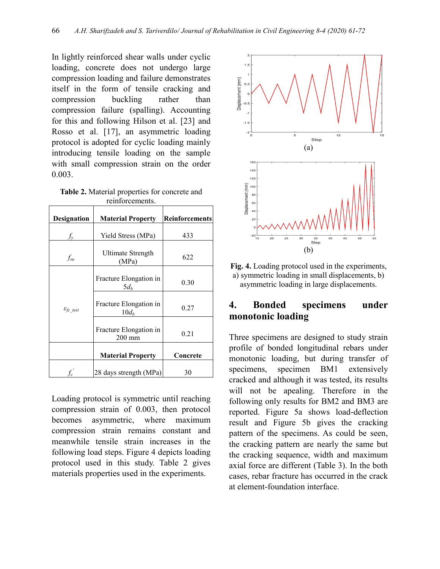In lightly reinforced shear walls under cyclic loading, concrete does not undergo large compression loading and failure demonstrates itself in the form of tensile cracking and compression buckling rather than compression failure (spalling). Accounting for this and following Hilson et al. [23] and Rosso et al. [17], an asymmetric loading protocol is adopted for cyclic loading mainly introducing tensile loading on the sample with small compression strain on the order 0.003.

**Table 2.** Material properties for concrete and reinforcements.

| Designation              | <b>Material Property</b>           | <b>Reinforcements</b> |  |  |  |  |  |  |  |
|--------------------------|------------------------------------|-----------------------|--|--|--|--|--|--|--|
|                          | Yield Stress (MPa)                 | 433                   |  |  |  |  |  |  |  |
| $f_{su}$                 | Ultimate Strength<br>(MPa)         | 622                   |  |  |  |  |  |  |  |
|                          | Fracture Elongation in<br>$5d_h$   | 0.30                  |  |  |  |  |  |  |  |
| $\varepsilon_{fc\_test}$ | Fracture Elongation in<br>$10d_h$  | 0.27                  |  |  |  |  |  |  |  |
|                          | Fracture Elongation in<br>$200$ mm | 0.21                  |  |  |  |  |  |  |  |
|                          | <b>Material Property</b>           | Concrete              |  |  |  |  |  |  |  |
|                          | 28 days strength (MPa)             | 30                    |  |  |  |  |  |  |  |

Loading protocol is symmetric until reaching compression strain of 0.003, then protocol becomes asymmetric, where maximum compression strain remains constant and meanwhile tensile strain increases in the following load steps. Figure 4 depicts loading protocol used in this study. Table 2 gives materials properties used in the experiments.



**Fig. 4.** Loading protocol used in the experiments, a) symmetric loading in small displacements, b) asymmetric loading in large displacements.

#### **4. Bonded specimens under monotonic loading**

Three specimens are designed to study strain profile of bonded longitudinal rebars under monotonic loading, but during transfer of specimens, specimen BM1 extensively cracked and although it was tested, its results will not be apealing. Therefore in the following only results for BM2 and BM3 are reported. Figure 5a shows load-deflection result and Figure 5b gives the cracking pattern of the specimens. As could be seen, the cracking pattern are nearly the same but the cracking sequence, width and maximum axial force are different (Table 3). In the both cases, rebar fracture has occurred in the crack at element-foundation interface.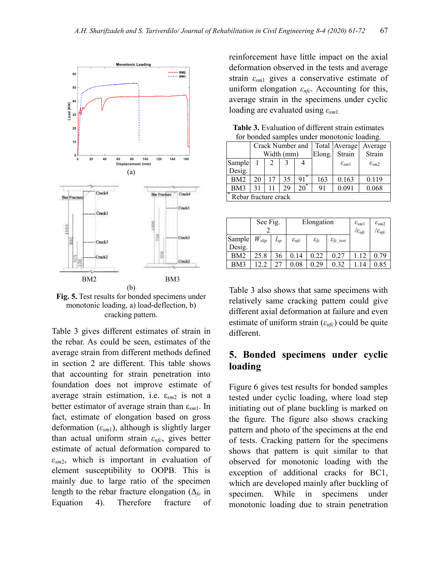

**Fig. 5.** Test results for bonded specimens under monotonic loading, a) load-deflection, b) cracking pattern.

Table 3 gives different estimates of strain in the rebar. As could be seen, estimates of the average strain from different methods defined in section 2 are different. This table shows that accounting for strain penetration into foundation does not improve estimate of average strain estimation, i.e. ε*sm*<sup>2</sup> is not a better estimator of average strain than ε*sm*1. In fact, estimate of elongation based on gross deformation (*εsm*1), although is slightly larger than actual uniform strain *εnfc*, gives better estimate of actual deformation compared to *εsm*2, which is important in evaluation of element susceptibility to OOPB. This is mainly due to large ratio of the specimen length to the rebar fracture elongation ( $\Delta_{fc}$  in Equation 4). Therefore fracture of

reinforcement have little impact on the axial deformation observed in the tests and average strain *εsm*<sup>1</sup> gives a conservative estimate of uniform elongation *εnfc*. Accounting for this, average strain in the specimens under cyclic loading are evaluated using *εsm*1.

| for bonded samples under monotonic foading. |    |    |            |                   |        |                     |                         |  |  |  |  |
|---------------------------------------------|----|----|------------|-------------------|--------|---------------------|-------------------------|--|--|--|--|
|                                             |    |    |            | Crack Number and  |        | Total Average       | Average                 |  |  |  |  |
|                                             |    |    | Width (mm) |                   | Elong. | Strain              | Strain                  |  |  |  |  |
| Sample                                      |    |    |            |                   |        | $\varepsilon_{sm1}$ | $\varepsilon_{\rm sm2}$ |  |  |  |  |
| Desig.                                      |    |    |            |                   |        |                     |                         |  |  |  |  |
| BM <sub>2</sub>                             | 20 | 17 | 35         | $91$ <sup>*</sup> | 163    | 0.163               | 0.119                   |  |  |  |  |
| BM3                                         | 31 |    | 29         | $20^*$            | 91     | 0.091               | 0.068                   |  |  |  |  |
| Rebar fracture crack                        |    |    |            |                   |        |                     |                         |  |  |  |  |

**Table 3.** Evaluation of different strain estimates for bonded samples under monotonic loading.

|                  | See Fig.   |              |                     | Elongation             |                          | $\varepsilon_{sm1}$<br>$/\varepsilon_{n\!f\!c}$ | $\varepsilon_{\rm sm2}$<br>$\mathcal{E}_{n\mathit{fc}}$ |
|------------------|------------|--------------|---------------------|------------------------|--------------------------|-------------------------------------------------|---------------------------------------------------------|
| Sample<br>Desig. | $W_{slip}$ | $\iota_{sp}$ | $\varepsilon_{nfc}$ | $\varepsilon_{\it fc}$ | $\varepsilon_{fc\_test}$ |                                                 |                                                         |
| BM2              | 25.8       | 36           | 0.14                | 0.22                   | 0.27                     | .12                                             | 0.79                                                    |
| BM3              | 12.2       |              | 0.08                | 0.29                   | 0.32                     | 14                                              | $0.85\,$                                                |

Table 3 also shows that same specimens with relatively same cracking pattern could give different axial deformation at failure and even estimate of uniform strain (*εnfc*) could be quite different.

#### **5. Bonded specimens under cyclic loading**

Figure 6 gives test results for bonded samples tested under cyclic loading, where load step initiating out of plane buckling is marked on the figure. The figure also shows cracking pattern and photo of the specimens at the end of tests. Cracking pattern for the specimens shows that pattern is quit similar to that observed for monotonic loading with the exception of additional cracks for BC1, which are developed mainly after buckling of specimen. While in specimens under monotonic loading due to strain penetration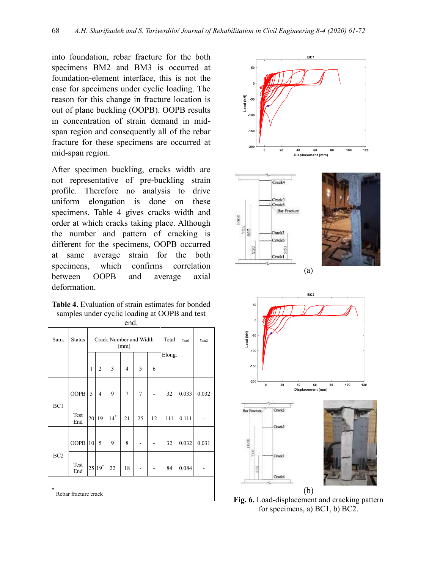into foundation, rebar fracture for the both specimens BM2 and BM3 is occurred at foundation-element interface, this is not the case for specimens under cyclic loading. The reason for this change in fracture location is out of plane buckling (OOPB). OOPB results in concentration of strain demand in midspan region and consequently all of the rebar fracture for these specimens are occurred at mid-span region.

After specimen buckling, cracks width are not representative of pre-buckling strain profile. Therefore no analysis to drive uniform elongation is done on these specimens. Table 4 gives cracks width and order at which cracks taking place. Although the number and pattern of cracking is different for the specimens, OOPB occurred at same average strain for the both specimens, which confirms correlation between OOPB and average axial deformation.

**Table 4.** Evaluation of strain estimates for bonded samples under cyclic loading at OOPB and test

| end.                           |               |    |                |                        |                |        |                     |                     |       |       |  |
|--------------------------------|---------------|----|----------------|------------------------|----------------|--------|---------------------|---------------------|-------|-------|--|
| Sam.                           | <b>Status</b> |    |                | Crack Number and Width | (mm)           | Total  | $\mathcal{E}_{sm1}$ | $\mathcal{E}_{sm2}$ |       |       |  |
|                                |               | 1  | $\overline{2}$ | 3                      | $\overline{4}$ | 5      | 6                   | Elong.              |       |       |  |
|                                | <b>OOPB</b>   | 5  | $\overline{4}$ | 9                      | $\tau$         | $\tau$ |                     | 32                  | 0.033 | 0.032 |  |
| BC1                            | Test<br>End   | 20 | 19             | $14$ <sup>*</sup>      | 21             | 25     | 12                  | 111                 | 0.111 |       |  |
|                                | <b>OOPB</b>   | 10 | 5              | 9                      | 8              |        |                     | 32                  | 0.032 | 0.031 |  |
| BC <sub>2</sub>                | Test<br>End   |    | 25 19*         | 22                     | 18             |        |                     | 84                  | 0.084 |       |  |
| $\ast$<br>Rebar fracture crack |               |    |                |                        |                |        |                     |                     |       |       |  |





**Fig. 6.** Load-displacement and cracking pattern for specimens, a) BC1, b) BC2.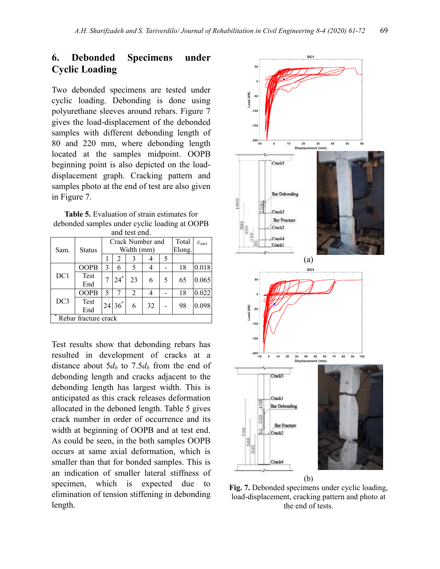## **6. Debonded Specimens under Cyclic Loading**

Two debonded specimens are tested under cyclic loading. Debonding is done using polyurethane sleeves around rebars. Figure 7 gives the load-displacement of the debonded samples with different debonding length of 80 and 220 mm, where debonding length located at the samples midpoint. OOPB beginning point is also depicted on the loaddisplacement graph. Cracking pattern and samples photo at the end of test are also given in Figure 7.

**Table 5.** Evaluation of strain estimates for debonded samples under cyclic loading at OOPB and test end.

|                      |             |    |          | Crack Number and | Total  | $\varepsilon_{sm1}$ |    |       |
|----------------------|-------------|----|----------|------------------|--------|---------------------|----|-------|
| Sam.                 | Status      |    |          | Width (mm)       | Elong. |                     |    |       |
|                      |             |    | 2        | 3                |        | 5                   |    |       |
|                      | <b>OOPB</b> | 3  | 6        | 5                |        |                     | 18 | 0.018 |
| DC1                  | Test<br>End |    | .*<br>24 | 23               | 6      | 5                   | 65 | 0.065 |
|                      | <b>OOPB</b> | 5  |          | $\overline{2}$   | 4      |                     | 18 | 0.022 |
| DC3                  | Test<br>End | 24 | $36^*$   | 6                | 32     |                     | 98 | 0.098 |
| Rebar fracture crack |             |    |          |                  |        |                     |    |       |

Test results show that debonding rebars has resulted in development of cracks at a distance about  $5d_b$  to  $7.5d_b$  from the end of debonding length and cracks adjacent to the debonding length has largest width. This is anticipated as this crack releases deformation allocated in the deboned length. Table 5 gives crack number in order of occurrence and its width at beginning of OOPB and at test end. As could be seen, in the both samples OOPB occurs at same axial deformation, which is smaller than that for bonded samples. This is an indication of smaller lateral stiffness of specimen, which is expected due to elimination of tension stiffening in debonding length.



**Fig. 7.** Debonded specimens under cyclic loading, load-displacement, cracking pattern and photo at the end of tests.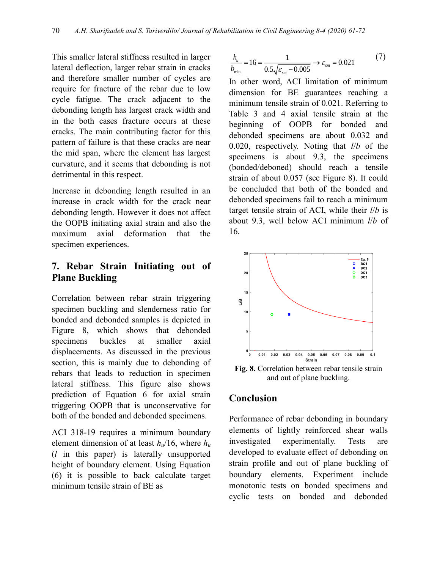This smaller lateral stiffness resulted in larger lateral deflection, larger rebar strain in cracks and therefore smaller number of cycles are require for fracture of the rebar due to low cycle fatigue. The crack adjacent to the debonding length has largest crack width and in the both cases fracture occurs at these cracks. The main contributing factor for this pattern of failure is that these cracks are near the mid span, where the element has largest curvature, and it seems that debonding is not detrimental in this respect.

Increase in debonding length resulted in an increase in crack width for the crack near debonding length. However it does not affect the OOPB initiating axial strain and also the maximum axial deformation that the specimen experiences.

#### **7. Rebar Strain Initiating out of Plane Buckling**

Correlation between rebar strain triggering specimen buckling and slenderness ratio for bonded and debonded samples is depicted in Figure 8, which shows that debonded specimens buckles at smaller axial displacements. As discussed in the previous section, this is mainly due to debonding of rebars that leads to reduction in specimen lateral stiffness. This figure also shows prediction of Equation 6 for axial strain triggering OOPB that is unconservative for both of the bonded and debonded specimens.

ACI 318-19 requires a minimum boundary element dimension of at least  $h_u/16$ , where  $h_u$ (*l* in this paper) is laterally unsupported height of boundary element. Using Equation (6) it is possible to back calculate target minimum tensile strain of BE as

$$
\frac{h_u}{b_{\min}} = 16 = \frac{1}{0.5\sqrt{\varepsilon_{sm} - 0.005}} \to \varepsilon_{sm} = 0.021
$$
 (7)

In other word, ACI limitation of minimum dimension for BE guarantees reaching a minimum tensile strain of 0.021. Referring to Table 3 and 4 axial tensile strain at the beginning of OOPB for bonded and debonded specimens are about 0.032 and 0.020, respectively. Noting that *l*/*b* of the specimens is about 9.3, the specimens (bonded/deboned) should reach a tensile strain of about 0.057 (see Figure 8). It could be concluded that both of the bonded and debonded specimens fail to reach a minimum target tensile strain of ACI, while their *l*/*b* is about 9.3, well below ACI minimum *l*/*b* of 16.



**Fig. 8.** Correlation between rebar tensile strain and out of plane buckling.

#### **Conclusion**

Performance of rebar debonding in boundary elements of lightly reinforced shear walls investigated experimentally. Tests are developed to evaluate effect of debonding on strain profile and out of plane buckling of boundary elements. Experiment include monotonic tests on bonded specimens and cyclic tests on bonded and debonded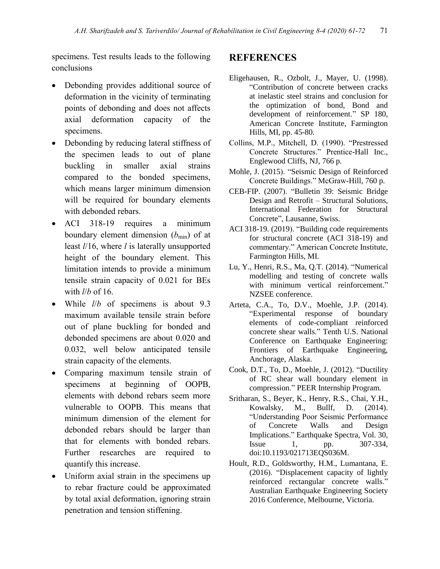specimens. Test results leads to the following conclusions

- Debonding provides additional source of deformation in the vicinity of terminating points of debonding and does not affects axial deformation capacity of the specimens.
- Debonding by reducing lateral stiffness of the specimen leads to out of plane buckling in smaller axial strains compared to the bonded specimens, which means larger minimum dimension will be required for boundary elements with debonded rebars.
- ACI 318-19 requires a minimum boundary element dimension ( $b_{\text{min}}$ ) of at least *l*/16, where *l* is laterally unsupported height of the boundary element. This limitation intends to provide a minimum tensile strain capacity of 0.021 for BEs with *l*/*b* of 16.
- While *l*/*b* of specimens is about 9.3 maximum available tensile strain before out of plane buckling for bonded and debonded specimens are about 0.020 and 0.032, well below anticipated tensile strain capacity of the elements.
- Comparing maximum tensile strain of specimens at beginning of OOPB, elements with debond rebars seem more vulnerable to OOPB. This means that minimum dimension of the element for debonded rebars should be larger than that for elements with bonded rebars. Further researches are required to quantify this increase.
- Uniform axial strain in the specimens up to rebar fracture could be approximated by total axial deformation, ignoring strain penetration and tension stiffening.

#### **REFERENCES**

- Eligehausen, R., Ozbolt, J., Mayer, U. (1998). "Contribution of concrete between cracks at inelastic steel strains and conclusion for the optimization of bond, Bond and development of reinforcement." SP 180, American Concrete Institute, Farmington Hills, MI, pp. 45-80.
- Collins, M.P., Mitchell, D. (1990). "Prestressed Concrete Structures." Prentice-Hall Inc., Englewood Cliffs, NJ, 766 p.
- Mohle, J. (2015). "Seismic Design of Reinforced Concrete Buildings." McGraw-Hill, 760 p.
- CEB-FIP. (2007). "Bulletin 39: Seismic Bridge Design and Retrofit – Structural Solutions, International Federation for Structural Concrete", Lausanne, Swiss.
- ACI 318-19. (2019). "Building code requirements for structural concrete (ACI 318-19) and commentary." American Concrete Institute, Farmington Hills, MI.
- Lu, Y., Henri, R.S., Ma, Q.T. (2014). "Numerical modelling and testing of concrete walls with minimum vertical reinforcement." NZSEE conference.
- Arteta, C.A., To, D.V., Moehle, J.P. (2014). "Experimental response of boundary elements of code-compliant reinforced concrete shear walls." Tenth U.S. National Conference on Earthquake Engineering: Frontiers of Earthquake Engineering, Anchorage, Alaska.
- Cook, D.T., To, D., Moehle, J. (2012). "Ductility of RC shear wall boundary element in compression." PEER Internship Program.
- Sritharan, S., Beyer, K., Henry, R.S., Chai, Y.H., Kowalsky, M., Bullf, D. (2014). "Understanding Poor Seismic Performance of Concrete Walls and Design Implications." Earthquake Spectra, Vol. 30, Issue 1, pp. 307-334, doi:10.1193/021713EQS036M.
- Hoult, R.D., Goldsworthy, H.M., Lumantana, E. (2016). "Displacement capacity of lightly reinforced rectangular concrete walls." Australian Earthquake Engineering Society 2016 Conference, Melbourne, Victoria.